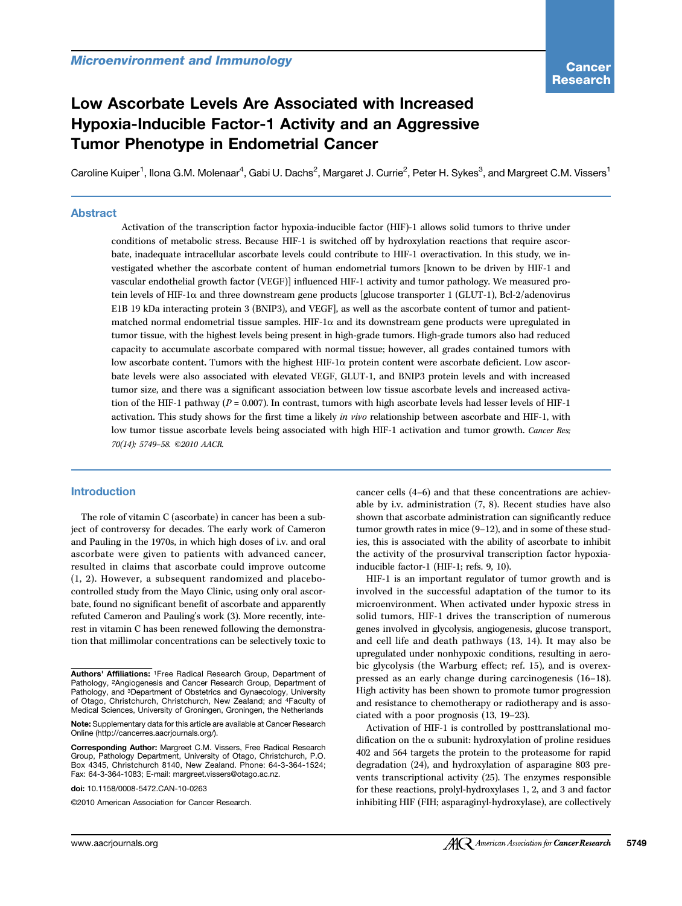# Low Ascorbate Levels Are Associated with Increased Hypoxia-Inducible Factor-1 Activity and an Aggressive Tumor Phenotype in Endometrial Cancer

Caroline Kuiper<sup>1</sup>, Ilona G.M. Molenaar<sup>4</sup>, Gabi U. Dachs<sup>2</sup>, Margaret J. Currie<sup>2</sup>, Peter H. Sykes<sup>3</sup>, and Margreet C.M. Vissers<sup>1</sup>

#### Abstract

Activation of the transcription factor hypoxia-inducible factor (HIF)-1 allows solid tumors to thrive under conditions of metabolic stress. Because HIF-1 is switched off by hydroxylation reactions that require ascorbate, inadequate intracellular ascorbate levels could contribute to HIF-1 overactivation. In this study, we investigated whether the ascorbate content of human endometrial tumors [known to be driven by HIF-1 and vascular endothelial growth factor (VEGF)] influenced HIF-1 activity and tumor pathology. We measured protein levels of HIF-1α and three downstream gene products [glucose transporter 1 (GLUT-1), Bcl-2/adenovirus E1B 19 kDa interacting protein 3 (BNIP3), and VEGF], as well as the ascorbate content of tumor and patientmatched normal endometrial tissue samples. HIF-1 $\alpha$  and its downstream gene products were upregulated in tumor tissue, with the highest levels being present in high-grade tumors. High-grade tumors also had reduced capacity to accumulate ascorbate compared with normal tissue; however, all grades contained tumors with low ascorbate content. Tumors with the highest HIF-1α protein content were ascorbate deficient. Low ascorbate levels were also associated with elevated VEGF, GLUT-1, and BNIP3 protein levels and with increased tumor size, and there was a significant association between low tissue ascorbate levels and increased activation of the HIF-1 pathway ( $P = 0.007$ ). In contrast, tumors with high ascorbate levels had lesser levels of HIF-1 activation. This study shows for the first time a likely in vivo relationship between ascorbate and HIF-1, with low tumor tissue ascorbate levels being associated with high HIF-1 activation and tumor growth. Cancer Res; 70(14); 5749–58. ©2010 AACR.

#### Introduction

The role of vitamin C (ascorbate) in cancer has been a subject of controversy for decades. The early work of Cameron and Pauling in the 1970s, in which high doses of i.v. and oral ascorbate were given to patients with advanced cancer, resulted in claims that ascorbate could improve outcome (1, 2). However, a subsequent randomized and placebocontrolled study from the Mayo Clinic, using only oral ascorbate, found no significant benefit of ascorbate and apparently refuted Cameron and Pauling's work (3). More recently, interest in vitamin C has been renewed following the demonstration that millimolar concentrations can be selectively toxic to

cancer cells (4–6) and that these concentrations are achievable by i.v. administration (7, 8). Recent studies have also shown that ascorbate administration can significantly reduce tumor growth rates in mice (9–12), and in some of these studies, this is associated with the ability of ascorbate to inhibit the activity of the prosurvival transcription factor hypoxiainducible factor-1 (HIF-1; refs. 9, 10).

HIF-1 is an important regulator of tumor growth and is involved in the successful adaptation of the tumor to its microenvironment. When activated under hypoxic stress in solid tumors, HIF-1 drives the transcription of numerous genes involved in glycolysis, angiogenesis, glucose transport, and cell life and death pathways (13, 14). It may also be upregulated under nonhypoxic conditions, resulting in aerobic glycolysis (the Warburg effect; ref. 15), and is overexpressed as an early change during carcinogenesis (16–18). High activity has been shown to promote tumor progression and resistance to chemotherapy or radiotherapy and is associated with a poor prognosis (13, 19–23).

Activation of HIF-1 is controlled by posttranslational modification on the α subunit: hydroxylation of proline residues 402 and 564 targets the protein to the proteasome for rapid degradation (24), and hydroxylation of asparagine 803 prevents transcriptional activity (25). The enzymes responsible for these reactions, prolyl-hydroxylases 1, 2, and 3 and factor inhibiting HIF (FIH; asparaginyl-hydroxylase), are collectively

Authors' Affiliations: 1Free Radical Research Group, Department of Pathology, 2Angiogenesis and Cancer Research Group, Department of Pathology, and <sup>3</sup>Department of Obstetrics and Gynaecology, University of Otago, Christchurch, Christchurch, New Zealand; and 4Faculty of Medical Sciences, University of Groningen, Groningen, the Netherlands

Note: Supplementary data for this article are available at Cancer Research Online (http://cancerres.aacrjournals.org/).

Corresponding Author: Margreet C.M. Vissers, Free Radical Research Group, Pathology Department, University of Otago, Christchurch, P.O. Box 4345, Christchurch 8140, New Zealand. Phone: 64-3-364-1524; Fax: 64-3-364-1083; E-mail: margreet.vissers@otago.ac.nz.

doi: 10.1158/0008-5472.CAN-10-0263

<sup>©2010</sup> American Association for Cancer Research.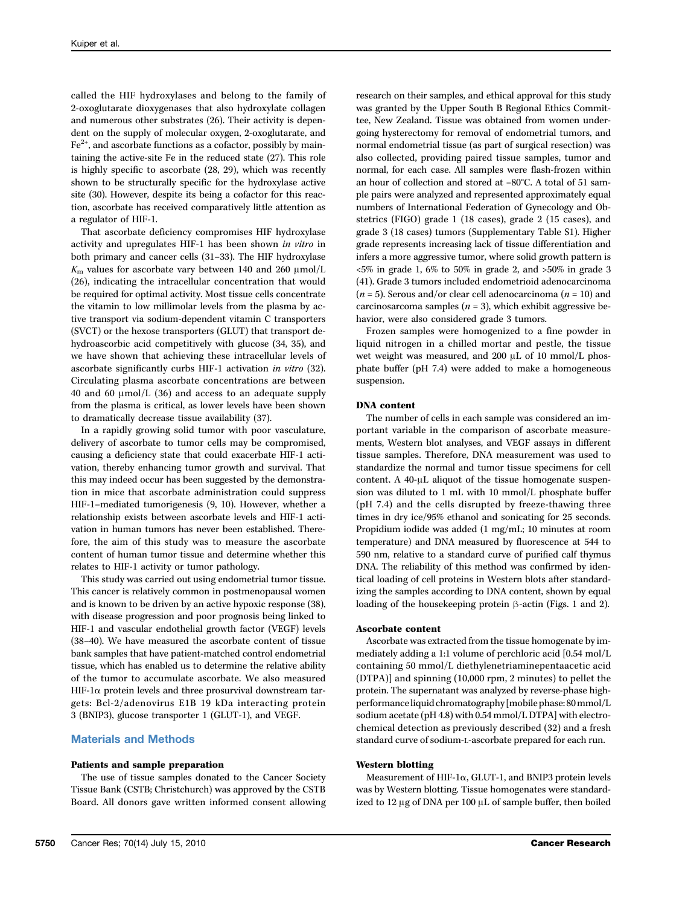called the HIF hydroxylases and belong to the family of 2-oxoglutarate dioxygenases that also hydroxylate collagen and numerous other substrates (26). Their activity is dependent on the supply of molecular oxygen, 2-oxoglutarate, and  $Fe<sup>2+</sup>$ , and ascorbate functions as a cofactor, possibly by maintaining the active-site Fe in the reduced state (27). This role is highly specific to ascorbate (28, 29), which was recently shown to be structurally specific for the hydroxylase active site (30). However, despite its being a cofactor for this reaction, ascorbate has received comparatively little attention as a regulator of HIF-1.

That ascorbate deficiency compromises HIF hydroxylase activity and upregulates HIF-1 has been shown in vitro in both primary and cancer cells (31–33). The HIF hydroxylase  $K<sub>m</sub>$  values for ascorbate vary between 140 and 260  $\mu$ mol/L (26), indicating the intracellular concentration that would be required for optimal activity. Most tissue cells concentrate the vitamin to low millimolar levels from the plasma by active transport via sodium-dependent vitamin C transporters (SVCT) or the hexose transporters (GLUT) that transport dehydroascorbic acid competitively with glucose (34, 35), and we have shown that achieving these intracellular levels of ascorbate significantly curbs HIF-1 activation in vitro (32). Circulating plasma ascorbate concentrations are between 40 and 60  $\mu$ mol/L (36) and access to an adequate supply from the plasma is critical, as lower levels have been shown to dramatically decrease tissue availability (37).

In a rapidly growing solid tumor with poor vasculature, delivery of ascorbate to tumor cells may be compromised, causing a deficiency state that could exacerbate HIF-1 activation, thereby enhancing tumor growth and survival. That this may indeed occur has been suggested by the demonstration in mice that ascorbate administration could suppress HIF-1–mediated tumorigenesis (9, 10). However, whether a relationship exists between ascorbate levels and HIF-1 activation in human tumors has never been established. Therefore, the aim of this study was to measure the ascorbate content of human tumor tissue and determine whether this relates to HIF-1 activity or tumor pathology.

This study was carried out using endometrial tumor tissue. This cancer is relatively common in postmenopausal women and is known to be driven by an active hypoxic response (38), with disease progression and poor prognosis being linked to HIF-1 and vascular endothelial growth factor (VEGF) levels (38–40). We have measured the ascorbate content of tissue bank samples that have patient-matched control endometrial tissue, which has enabled us to determine the relative ability of the tumor to accumulate ascorbate. We also measured HIF-1 $\alpha$  protein levels and three prosurvival downstream targets: Bcl-2/adenovirus E1B 19 kDa interacting protein 3 (BNIP3), glucose transporter 1 (GLUT-1), and VEGF.

## Materials and Methods

#### Patients and sample preparation

The use of tissue samples donated to the Cancer Society Tissue Bank (CSTB; Christchurch) was approved by the CSTB Board. All donors gave written informed consent allowing

research on their samples, and ethical approval for this study was granted by the Upper South B Regional Ethics Committee, New Zealand. Tissue was obtained from women undergoing hysterectomy for removal of endometrial tumors, and normal endometrial tissue (as part of surgical resection) was also collected, providing paired tissue samples, tumor and normal, for each case. All samples were flash-frozen within an hour of collection and stored at −80°C. A total of 51 sample pairs were analyzed and represented approximately equal numbers of International Federation of Gynecology and Obstetrics (FIGO) grade 1 (18 cases), grade 2 (15 cases), and grade 3 (18 cases) tumors (Supplementary Table S1). Higher grade represents increasing lack of tissue differentiation and infers a more aggressive tumor, where solid growth pattern is <5% in grade 1, 6% to 50% in grade 2, and >50% in grade 3 (41). Grade 3 tumors included endometrioid adenocarcinoma  $(n = 5)$ . Serous and/or clear cell adenocarcinoma  $(n = 10)$  and carcinosarcoma samples ( $n = 3$ ), which exhibit aggressive behavior, were also considered grade 3 tumors.

Frozen samples were homogenized to a fine powder in liquid nitrogen in a chilled mortar and pestle, the tissue wet weight was measured, and 200 μL of 10 mmol/L phosphate buffer (pH 7.4) were added to make a homogeneous suspension.

#### DNA content

The number of cells in each sample was considered an important variable in the comparison of ascorbate measurements, Western blot analyses, and VEGF assays in different tissue samples. Therefore, DNA measurement was used to standardize the normal and tumor tissue specimens for cell content. A 40-μL aliquot of the tissue homogenate suspension was diluted to 1 mL with 10 mmol/L phosphate buffer (pH 7.4) and the cells disrupted by freeze-thawing three times in dry ice/95% ethanol and sonicating for 25 seconds. Propidium iodide was added (1 mg/mL; 10 minutes at room temperature) and DNA measured by fluorescence at 544 to 590 nm, relative to a standard curve of purified calf thymus DNA. The reliability of this method was confirmed by identical loading of cell proteins in Western blots after standardizing the samples according to DNA content, shown by equal loading of the housekeeping protein β-actin (Figs. 1 and 2).

#### Ascorbate content

Ascorbate was extracted from the tissue homogenate by immediately adding a 1:1 volume of perchloric acid [0.54 mol/L containing 50 mmol/L diethylenetriaminepentaacetic acid (DTPA)] and spinning (10,000 rpm, 2 minutes) to pellet the protein. The supernatant was analyzed by reverse-phase highperformanceliquid chromatography [mobile phase: 80mmol/L sodium acetate (pH 4.8) with 0.54 mmol/L DTPA] with electrochemical detection as previously described (32) and a fresh standard curve of sodium-L-ascorbate prepared for each run.

#### Western blotting

Measurement of HIF-1α, GLUT-1, and BNIP3 protein levels was by Western blotting. Tissue homogenates were standardized to 12 μg of DNA per 100 μL of sample buffer, then boiled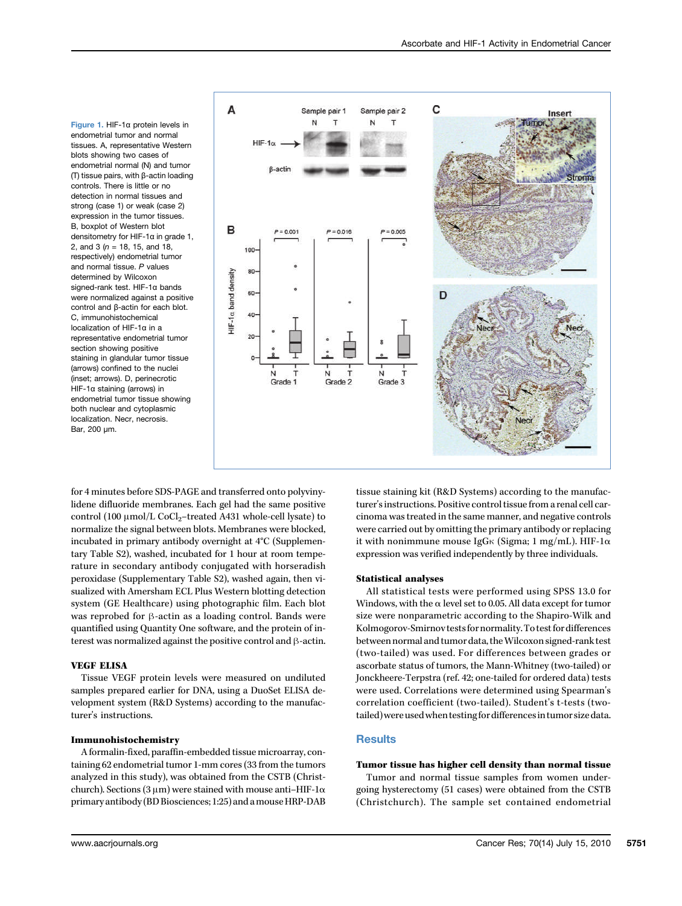Figure 1. HIF-1α protein levels in endometrial tumor and normal tissues. A, representative Western blots showing two cases of endometrial normal (N) and tumor (T) tissue pairs, with β-actin loading controls. There is little or no detection in normal tissues and strong (case 1) or weak (case 2) expression in the tumor tissues. B, boxplot of Western blot densitometry for HIF-1α in grade 1, 2, and 3  $(n = 18, 15,$  and 18, respectively) endometrial tumor and normal tissue. P values determined by Wilcoxon signed-rank test. HIF-1α bands were normalized against a positive control and β-actin for each blot. C, immunohistochemical localization of HIF-1α in a representative endometrial tumor section showing positive staining in glandular tumor tissue (arrows) confined to the nuclei (inset; arrows). D, perinecrotic HIF-1α staining (arrows) in endometrial tumor tissue showing both nuclear and cytoplasmic localization. Necr, necrosis. Bar, 200 μm.



for 4 minutes before SDS-PAGE and transferred onto polyvinylidene difluoride membranes. Each gel had the same positive control (100  $\mu$ mol/L CoCl<sub>2</sub>-treated A431 whole-cell lysate) to normalize the signal between blots. Membranes were blocked, incubated in primary antibody overnight at 4°C (Supplementary Table S2), washed, incubated for 1 hour at room temperature in secondary antibody conjugated with horseradish peroxidase (Supplementary Table S2), washed again, then visualized with Amersham ECL Plus Western blotting detection system (GE Healthcare) using photographic film. Each blot was reprobed for β-actin as a loading control. Bands were quantified using Quantity One software, and the protein of interest was normalized against the positive control and β-actin.

# VEGF ELISA

Tissue VEGF protein levels were measured on undiluted samples prepared earlier for DNA, using a DuoSet ELISA development system (R&D Systems) according to the manufacturer's instructions.

#### Immunohistochemistry

A formalin-fixed, paraffin-embedded tissue microarray, containing 62 endometrial tumor 1-mm cores (33 from the tumors analyzed in this study), was obtained from the CSTB (Christchurch). Sections (3  $\mu$ m) were stained with mouse anti-HIF-1 $\alpha$ primary antibody (BD Biosciences; 1:25) and amouseHRP-DAB

tissue staining kit (R&D Systems) according to the manufacturer's instructions. Positive control tissue from a renal cell carcinoma was treated in the same manner, and negative controls were carried out by omitting the primary antibody or replacing it with nonimmune mouse IgGκ (Sigma; 1 mg/mL). HIF-1α expression was verified independently by three individuals.

#### Statistical analyses

All statistical tests were performed using SPSS 13.0 for Windows, with the  $\alpha$  level set to 0.05. All data except for tumor size were nonparametric according to the Shapiro-Wilk and Kolmogorov-Smirnov tests for normality. To test for differences between normal and tumor data, theWilcoxon signed-rank test (two-tailed) was used. For differences between grades or ascorbate status of tumors, the Mann-Whitney (two-tailed) or Jonckheere-Terpstra (ref. 42; one-tailed for ordered data) tests were used. Correlations were determined using Spearman's correlation coefficient (two-tailed). Student's t-tests (twotailed)were usedwhen testingfor differencesin tumor size data.

## **Results**

#### Tumor tissue has higher cell density than normal tissue

Tumor and normal tissue samples from women undergoing hysterectomy (51 cases) were obtained from the CSTB (Christchurch). The sample set contained endometrial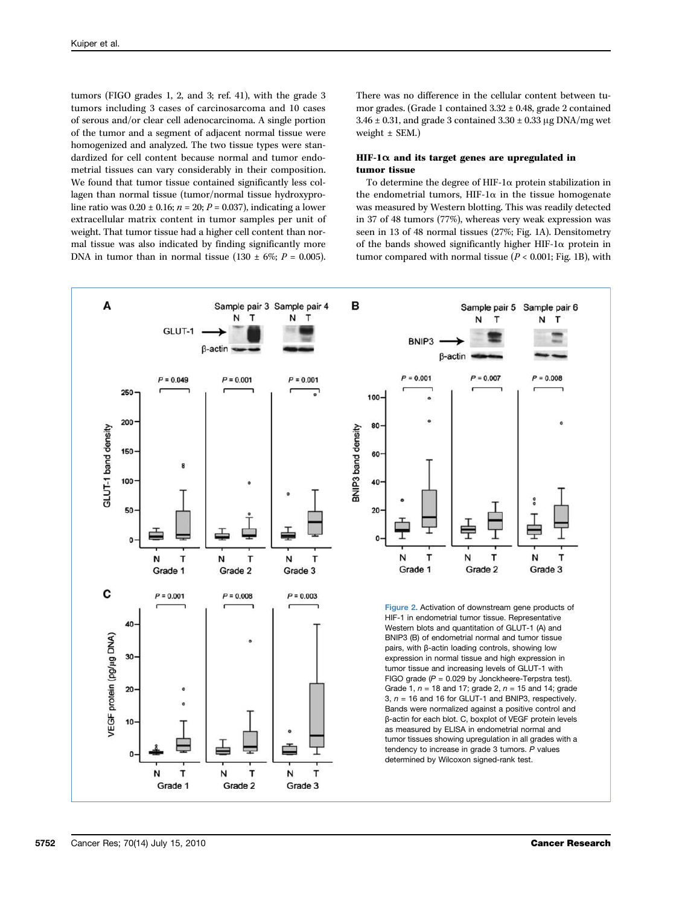tumors (FIGO grades 1, 2, and 3; ref. 41), with the grade 3 tumors including 3 cases of carcinosarcoma and 10 cases of serous and/or clear cell adenocarcinoma. A single portion of the tumor and a segment of adjacent normal tissue were homogenized and analyzed. The two tissue types were standardized for cell content because normal and tumor endometrial tissues can vary considerably in their composition. We found that tumor tissue contained significantly less collagen than normal tissue (tumor/normal tissue hydroxyproline ratio was  $0.20 \pm 0.16$ ;  $n = 20$ ;  $P = 0.037$ ), indicating a lower extracellular matrix content in tumor samples per unit of weight. That tumor tissue had a higher cell content than normal tissue was also indicated by finding significantly more DNA in tumor than in normal tissue (130  $\pm$  6%; P = 0.005).

There was no difference in the cellular content between tumor grades. (Grade 1 contained 3.32 ± 0.48, grade 2 contained  $3.46 \pm 0.31$ , and grade 3 contained  $3.30 \pm 0.33$  µg DNA/mg wet weight  $\pm$  SEM.)

## HIF-1α and its target genes are upregulated in tumor tissue

To determine the degree of HIF-1α protein stabilization in the endometrial tumors,  $HIF-I\alpha$  in the tissue homogenate was measured by Western blotting. This was readily detected in 37 of 48 tumors (77%), whereas very weak expression was seen in 13 of 48 normal tissues (27%; Fig. 1A). Densitometry of the bands showed significantly higher HIF-1α protein in tumor compared with normal tissue ( $P < 0.001$ ; Fig. 1B), with

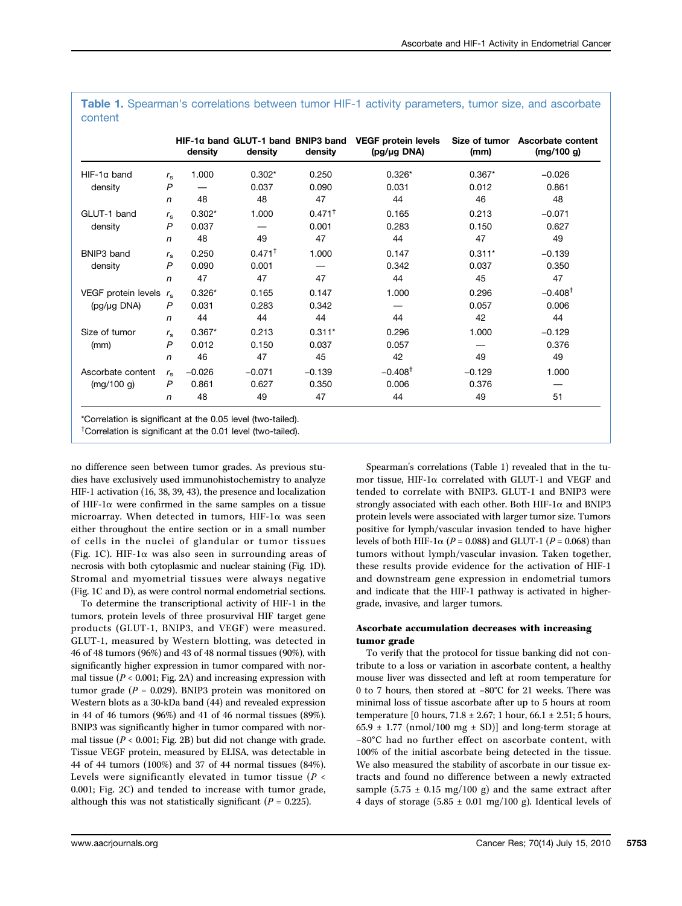|                                         |                | density  | density           | density   | $HIF-1\alpha$ band GLUT-1 band BNIP3 band VEGF protein levels<br>(pg/µg DNA) | (mm)     | Size of tumor Ascorbate content<br>(mg/100 g) |
|-----------------------------------------|----------------|----------|-------------------|-----------|------------------------------------------------------------------------------|----------|-----------------------------------------------|
| $HIF-1\alpha$ band<br>density           | $r_{\rm s}$    | 1.000    | $0.302*$          | 0.250     | $0.326*$                                                                     | $0.367*$ | $-0.026$                                      |
|                                         | P              |          | 0.037             | 0.090     | 0.031                                                                        | 0.012    | 0.861                                         |
|                                         | $\mathsf{n}$   | 48       | 48                | 47        | 44                                                                           | 46       | 48                                            |
| GLUT-1 band<br>density                  | $r_{\rm s}$    | $0.302*$ | 1.000             | $0.471^+$ | 0.165                                                                        | 0.213    | $-0.071$                                      |
|                                         | P              | 0.037    |                   | 0.001     | 0.283                                                                        | 0.150    | 0.627                                         |
|                                         | $\mathsf{n}$   | 48       | 49                | 47        | 44                                                                           | 47       | 49                                            |
| BNIP3 band<br>density                   | $r_{\rm s}$    | 0.250    | $0.471^{\dagger}$ | 1.000     | 0.147                                                                        | $0.311*$ | $-0.139$                                      |
|                                         | P              | 0.090    | 0.001             |           | 0.342                                                                        | 0.037    | 0.350                                         |
|                                         | $\mathsf{n}$   | 47       | 47                | 47        | 44                                                                           | 45       | 47                                            |
| VEGF protein levels<br>$(pq/\mu q$ DNA) | $r_{\rm s}$    | $0.326*$ | 0.165             | 0.147     | 1.000                                                                        | 0.296    | $-0.408$ <sup>†</sup>                         |
|                                         | $\overline{P}$ | 0.031    | 0.283             | 0.342     |                                                                              | 0.057    | 0.006                                         |
|                                         | n              | 44       | 44                | 44        | 44                                                                           | 42       | 44                                            |
| Size of tumor<br>(mm)                   | $r_{\rm s}$    | $0.367*$ | 0.213             | $0.311*$  | 0.296                                                                        | 1.000    | $-0.129$                                      |
|                                         | $\mathsf{P}$   | 0.012    | 0.150             | 0.037     | 0.057                                                                        |          | 0.376                                         |
|                                         | $\mathsf{n}$   | 46       | 47                | 45        | 42                                                                           | 49       | 49                                            |
| Ascorbate content<br>(mg/100 g)         | $r_{\rm s}$    | $-0.026$ | $-0.071$          | $-0.139$  | $-0.408$ <sup>t</sup>                                                        | $-0.129$ | 1.000                                         |
|                                         | $\overline{P}$ | 0.861    | 0.627             | 0.350     | 0.006                                                                        | 0.376    |                                               |
|                                         | n              | 48       | 49                | 47        | 44                                                                           | 49       | 51                                            |

Table 1. Spearman's correlations between tumor HIF-1 activity parameters, tumor size, and ascorbate content

Correlation is significant at the 0.05 level (two-tailed).

<sup>†</sup>Correlation is significant at the 0.01 level (two-tailed).

no difference seen between tumor grades. As previous studies have exclusively used immunohistochemistry to analyze HIF-1 activation (16, 38, 39, 43), the presence and localization of HIF-1 $\alpha$  were confirmed in the same samples on a tissue microarray. When detected in tumors, HIF-1α was seen either throughout the entire section or in a small number of cells in the nuclei of glandular or tumor tissues (Fig. 1C). HIF-1α was also seen in surrounding areas of necrosis with both cytoplasmic and nuclear staining (Fig. 1D). Stromal and myometrial tissues were always negative (Fig. 1C and D), as were control normal endometrial sections.

To determine the transcriptional activity of HIF-1 in the tumors, protein levels of three prosurvival HIF target gene products (GLUT-1, BNIP3, and VEGF) were measured. GLUT-1, measured by Western blotting, was detected in 46 of 48 tumors (96%) and 43 of 48 normal tissues (90%), with significantly higher expression in tumor compared with normal tissue ( $P < 0.001$ ; Fig. 2A) and increasing expression with tumor grade ( $P = 0.029$ ). BNIP3 protein was monitored on Western blots as a 30-kDa band (44) and revealed expression in 44 of 46 tumors (96%) and 41 of 46 normal tissues (89%). BNIP3 was significantly higher in tumor compared with normal tissue ( $P < 0.001$ ; Fig. 2B) but did not change with grade. Tissue VEGF protein, measured by ELISA, was detectable in 44 of 44 tumors (100%) and 37 of 44 normal tissues (84%). Levels were significantly elevated in tumor tissue ( $P \leq$ 0.001; Fig. 2C) and tended to increase with tumor grade, although this was not statistically significant ( $P = 0.225$ ).

Spearman's correlations (Table 1) revealed that in the tumor tissue, HIF-1α correlated with GLUT-1 and VEGF and tended to correlate with BNIP3. GLUT-1 and BNIP3 were strongly associated with each other. Both HIF-1α and BNIP3 protein levels were associated with larger tumor size. Tumors positive for lymph/vascular invasion tended to have higher levels of both HIF-1 $\alpha$  (P = 0.088) and GLUT-1 (P = 0.068) than tumors without lymph/vascular invasion. Taken together, these results provide evidence for the activation of HIF-1 and downstream gene expression in endometrial tumors and indicate that the HIF-1 pathway is activated in highergrade, invasive, and larger tumors.

# Ascorbate accumulation decreases with increasing tumor grade

To verify that the protocol for tissue banking did not contribute to a loss or variation in ascorbate content, a healthy mouse liver was dissected and left at room temperature for 0 to 7 hours, then stored at −80°C for 21 weeks. There was minimal loss of tissue ascorbate after up to 5 hours at room temperature [0 hours, 71.8 ± 2.67; 1 hour, 66.1 ± 2.51; 5 hours,  $65.9 \pm 1.77$  (nmol/100 mg  $\pm$  SD)] and long-term storage at −80°C had no further effect on ascorbate content, with 100% of the initial ascorbate being detected in the tissue. We also measured the stability of ascorbate in our tissue extracts and found no difference between a newly extracted sample  $(5.75 \pm 0.15 \text{ mg}/100 \text{ g})$  and the same extract after 4 days of storage  $(5.85 \pm 0.01 \text{ mg}/100 \text{ g})$ . Identical levels of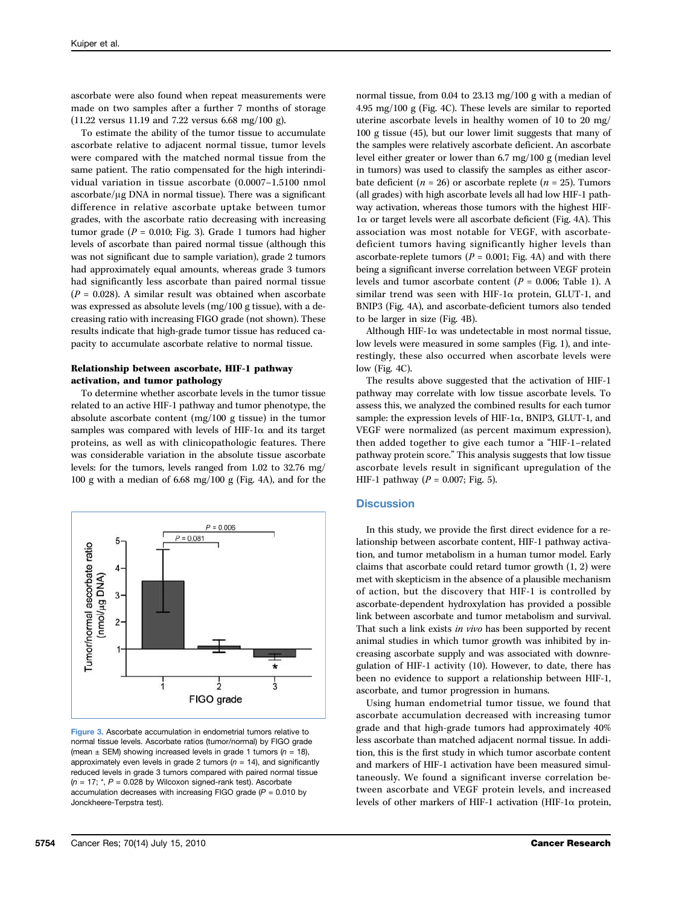ascorbate were also found when repeat measurements were made on two samples after a further 7 months of storage (11.22 versus 11.19 and 7.22 versus 6.68 mg/100 g).

To estimate the ability of the tumor tissue to accumulate ascorbate relative to adjacent normal tissue, tumor levels were compared with the matched normal tissue from the same patient. The ratio compensated for the high interindividual variation in tissue ascorbate (0.0007–1.5100 nmol ascorbate/μg DNA in normal tissue). There was a significant difference in relative ascorbate uptake between tumor grades, with the ascorbate ratio decreasing with increasing tumor grade ( $P = 0.010$ ; Fig. 3). Grade 1 tumors had higher levels of ascorbate than paired normal tissue (although this was not significant due to sample variation), grade 2 tumors had approximately equal amounts, whereas grade 3 tumors had significantly less ascorbate than paired normal tissue  $(P = 0.028)$ . A similar result was obtained when ascorbate was expressed as absolute levels (mg/100 g tissue), with a decreasing ratio with increasing FIGO grade (not shown). These results indicate that high-grade tumor tissue has reduced capacity to accumulate ascorbate relative to normal tissue.

## Relationship between ascorbate, HIF-1 pathway activation, and tumor pathology

To determine whether ascorbate levels in the tumor tissue related to an active HIF-1 pathway and tumor phenotype, the absolute ascorbate content (mg/100 g tissue) in the tumor samples was compared with levels of HIF-1α and its target proteins, as well as with clinicopathologic features. There was considerable variation in the absolute tissue ascorbate levels: for the tumors, levels ranged from 1.02 to 32.76 mg/ 100 g with a median of 6.68 mg/100 g (Fig. 4A), and for the



Figure 3. Ascorbate accumulation in endometrial tumors relative to normal tissue levels. Ascorbate ratios (tumor/normal) by FIGO grade (mean  $\pm$  SEM) showing increased levels in grade 1 tumors ( $n = 18$ ), approximately even levels in grade 2 tumors ( $n = 14$ ), and significantly reduced levels in grade 3 tumors compared with paired normal tissue  $(n = 17; *, P = 0.028$  by Wilcoxon signed-rank test). Ascorbate accumulation decreases with increasing FIGO grade  $(P = 0.010$  by Jonckheere-Terpstra test).

normal tissue, from 0.04 to 23.13 mg/100 g with a median of 4.95 mg/100 g (Fig. 4C). These levels are similar to reported uterine ascorbate levels in healthy women of 10 to 20 mg/ 100 g tissue (45), but our lower limit suggests that many of the samples were relatively ascorbate deficient. An ascorbate level either greater or lower than 6.7 mg/100 g (median level in tumors) was used to classify the samples as either ascorbate deficient ( $n = 26$ ) or ascorbate replete ( $n = 25$ ). Tumors (all grades) with high ascorbate levels all had low HIF-1 pathway activation, whereas those tumors with the highest HIF-1α or target levels were all ascorbate deficient (Fig. 4A). This association was most notable for VEGF, with ascorbatedeficient tumors having significantly higher levels than ascorbate-replete tumors ( $P = 0.001$ ; Fig. 4A) and with there being a significant inverse correlation between VEGF protein levels and tumor ascorbate content ( $P = 0.006$ ; Table 1). A similar trend was seen with HIF-1α protein, GLUT-1, and BNIP3 (Fig. 4A), and ascorbate-deficient tumors also tended to be larger in size (Fig. 4B).

Although HIF-1 $\alpha$  was undetectable in most normal tissue, low levels were measured in some samples (Fig. 1), and interestingly, these also occurred when ascorbate levels were low (Fig. 4C).

The results above suggested that the activation of HIF-1 pathway may correlate with low tissue ascorbate levels. To assess this, we analyzed the combined results for each tumor sample: the expression levels of HIF-1α, BNIP3, GLUT-1, and VEGF were normalized (as percent maximum expression), then added together to give each tumor a "HIF-1–related pathway protein score." This analysis suggests that low tissue ascorbate levels result in significant upregulation of the HIF-1 pathway ( $P = 0.007$ ; Fig. 5).

## **Discussion**

In this study, we provide the first direct evidence for a relationship between ascorbate content, HIF-1 pathway activation, and tumor metabolism in a human tumor model. Early claims that ascorbate could retard tumor growth (1, 2) were met with skepticism in the absence of a plausible mechanism of action, but the discovery that HIF-1 is controlled by ascorbate-dependent hydroxylation has provided a possible link between ascorbate and tumor metabolism and survival. That such a link exists in vivo has been supported by recent animal studies in which tumor growth was inhibited by increasing ascorbate supply and was associated with downregulation of HIF-1 activity (10). However, to date, there has been no evidence to support a relationship between HIF-1, ascorbate, and tumor progression in humans.

Using human endometrial tumor tissue, we found that ascorbate accumulation decreased with increasing tumor grade and that high-grade tumors had approximately 40% less ascorbate than matched adjacent normal tissue. In addition, this is the first study in which tumor ascorbate content and markers of HIF-1 activation have been measured simultaneously. We found a significant inverse correlation between ascorbate and VEGF protein levels, and increased levels of other markers of HIF-1 activation (HIF-1α protein,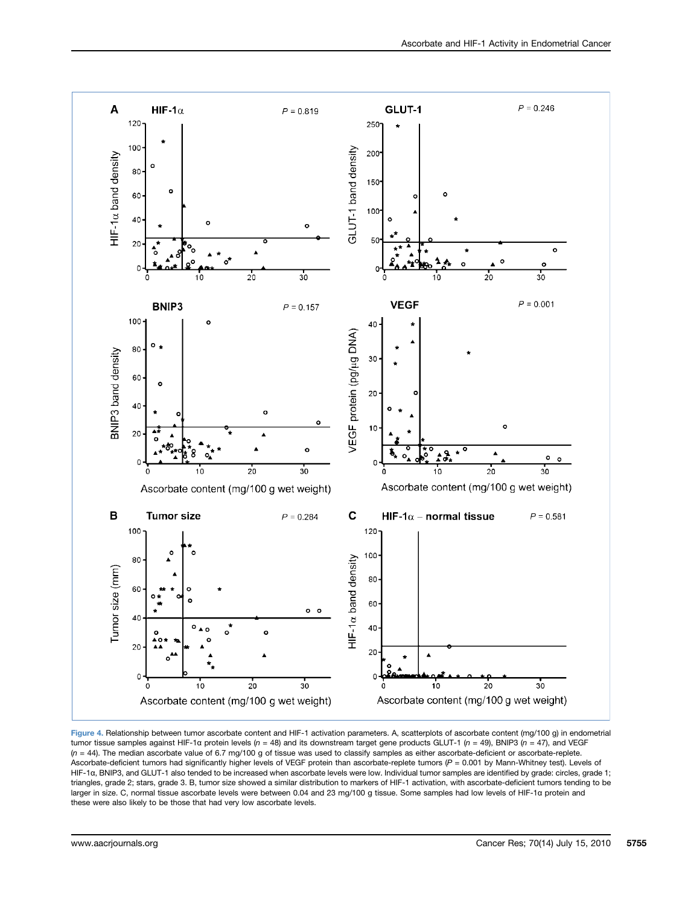

Figure 4. Relationship between tumor ascorbate content and HIF-1 activation parameters. A, scatterplots of ascorbate content (mg/100 g) in endometrial tumor tissue samples against HIF-1α protein levels ( $n = 48$ ) and its downstream target gene products GLUT-1 ( $n = 49$ ), BNIP3 ( $n = 47$ ), and VEGF  $(n = 44)$ . The median ascorbate value of 6.7 mg/100 g of tissue was used to classify samples as either ascorbate-deficient or ascorbate-replete. Ascorbate-deficient tumors had significantly higher levels of VEGF protein than ascorbate-replete tumors (P = 0.001 by Mann-Whitney test). Levels of HIF-1α, BNIP3, and GLUT-1 also tended to be increased when ascorbate levels were low. Individual tumor samples are identified by grade: circles, grade 1; triangles, grade 2; stars, grade 3. B, tumor size showed a similar distribution to markers of HIF-1 activation, with ascorbate-deficient tumors tending to be larger in size. C, normal tissue ascorbate levels were between 0.04 and 23 mg/100 g tissue. Some samples had low levels of HIF-1α protein and these were also likely to be those that had very low ascorbate levels.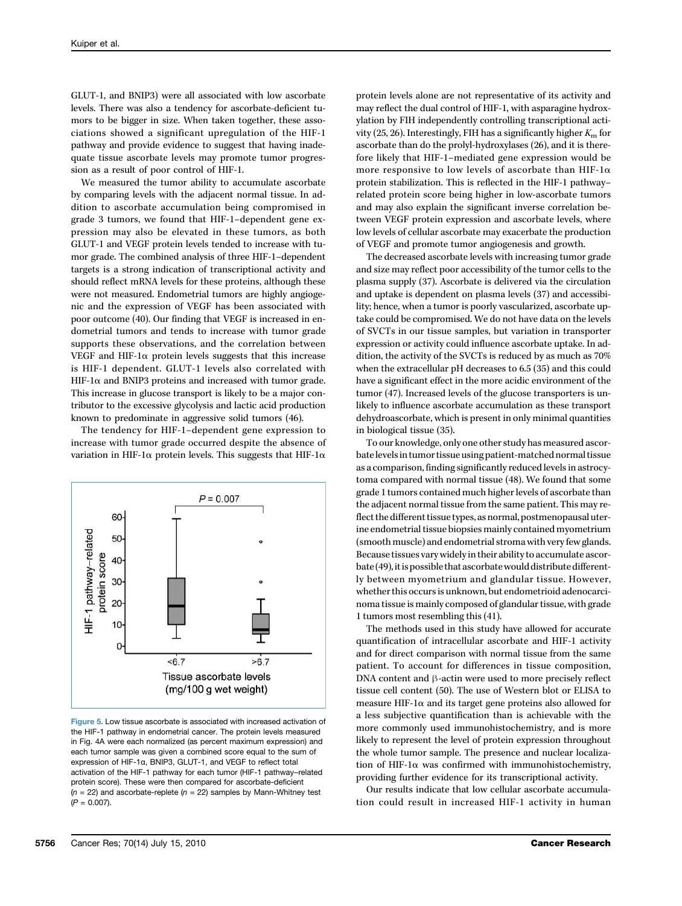GLUT-1, and BNIP3) were all associated with low ascorbate levels. There was also a tendency for ascorbate-deficient tumors to be bigger in size. When taken together, these associations showed a significant upregulation of the HIF-1 pathway and provide evidence to suggest that having inadequate tissue ascorbate levels may promote tumor progression as a result of poor control of HIF-1.

We measured the tumor ability to accumulate ascorbate by comparing levels with the adjacent normal tissue. In addition to ascorbate accumulation being compromised in grade 3 tumors, we found that HIF-1–dependent gene expression may also be elevated in these tumors, as both GLUT-1 and VEGF protein levels tended to increase with tumor grade. The combined analysis of three HIF-1–dependent targets is a strong indication of transcriptional activity and should reflect mRNA levels for these proteins, although these were not measured. Endometrial tumors are highly angiogenic and the expression of VEGF has been associated with poor outcome (40). Our finding that VEGF is increased in endometrial tumors and tends to increase with tumor grade supports these observations, and the correlation between VEGF and HIF-1α protein levels suggests that this increase is HIF-1 dependent. GLUT-1 levels also correlated with HIF-1α and BNIP3 proteins and increased with tumor grade. This increase in glucose transport is likely to be a major contributor to the excessive glycolysis and lactic acid production known to predominate in aggressive solid tumors (46).

The tendency for HIF-1–dependent gene expression to increase with tumor grade occurred despite the absence of variation in HIF-1α protein levels. This suggests that HIF-1α



Figure 5. Low tissue ascorbate is associated with increased activation of the HIF-1 pathway in endometrial cancer. The protein levels measured in Fig. 4A were each normalized (as percent maximum expression) and each tumor sample was given a combined score equal to the sum of expression of HIF-1α, BNIP3, GLUT-1, and VEGF to reflect total activation of the HIF-1 pathway for each tumor (HIF-1 pathway–related protein score). These were then compared for ascorbate-deficient  $(n = 22)$  and ascorbate-replete  $(n = 22)$  samples by Mann-Whitney test  $(P = 0.007)$ .

protein levels alone are not representative of its activity and may reflect the dual control of HIF-1, with asparagine hydroxylation by FIH independently controlling transcriptional activity (25, 26). Interestingly, FIH has a significantly higher  $K<sub>m</sub>$  for ascorbate than do the prolyl-hydroxylases (26), and it is therefore likely that HIF-1–mediated gene expression would be more responsive to low levels of ascorbate than HIF-1α protein stabilization. This is reflected in the HIF-1 pathway– related protein score being higher in low-ascorbate tumors and may also explain the significant inverse correlation between VEGF protein expression and ascorbate levels, where low levels of cellular ascorbate may exacerbate the production of VEGF and promote tumor angiogenesis and growth.

The decreased ascorbate levels with increasing tumor grade and size may reflect poor accessibility of the tumor cells to the plasma supply (37). Ascorbate is delivered via the circulation and uptake is dependent on plasma levels (37) and accessibility; hence, when a tumor is poorly vascularized, ascorbate uptake could be compromised. We do not have data on the levels of SVCTs in our tissue samples, but variation in transporter expression or activity could influence ascorbate uptake. In addition, the activity of the SVCTs is reduced by as much as 70% when the extracellular pH decreases to 6.5 (35) and this could have a significant effect in the more acidic environment of the tumor (47). Increased levels of the glucose transporters is unlikely to influence ascorbate accumulation as these transport dehydroascorbate, which is present in only minimal quantities in biological tissue (35).

To our knowledge, only one other study has measured ascorbatelevelsin tumor tissue using patient-matched normal tissue as a comparison, finding significantly reduced levels in astrocytoma compared with normal tissue (48). We found that some grade 1 tumors contained much higher levels of ascorbate than the adjacent normal tissue from the same patient. This may reflect the different tissue types, as normal, postmenopausal uterine endometrial tissue biopsies mainly contained myometrium (smooth muscle) and endometrial stroma with very few glands. Because tissues varywidely in their ability to accumulate ascorbate (49), it is possible that ascorbate would distribute differently between myometrium and glandular tissue. However, whether this occurs is unknown, but endometrioid adenocarcinoma tissue is mainly composed of glandular tissue, with grade 1 tumors most resembling this (41).

The methods used in this study have allowed for accurate quantification of intracellular ascorbate and HIF-1 activity and for direct comparison with normal tissue from the same patient. To account for differences in tissue composition, DNA content and β-actin were used to more precisely reflect tissue cell content (50). The use of Western blot or ELISA to measure HIF-1 $\alpha$  and its target gene proteins also allowed for a less subjective quantification than is achievable with the more commonly used immunohistochemistry, and is more likely to represent the level of protein expression throughout the whole tumor sample. The presence and nuclear localization of HIF-1α was confirmed with immunohistochemistry, providing further evidence for its transcriptional activity.

Our results indicate that low cellular ascorbate accumulation could result in increased HIF-1 activity in human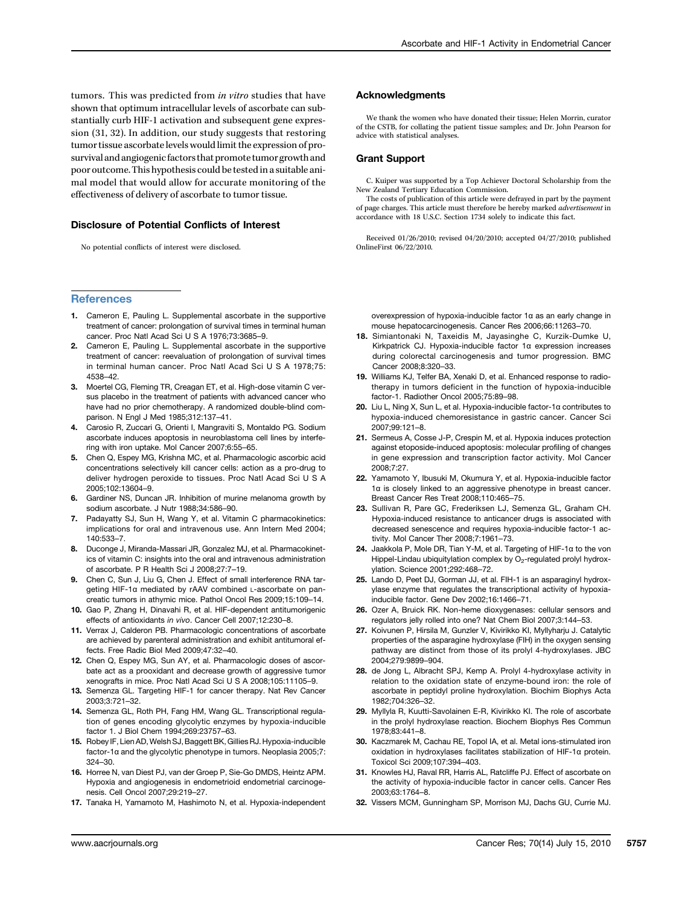tumors. This was predicted from in vitro studies that have shown that optimum intracellular levels of ascorbate can substantially curb HIF-1 activation and subsequent gene expression (31, 32). In addition, our study suggests that restoring tumor tissue ascorbate levels would limit the expression of prosurvival and angiogenic factors that promote tumor growth and poor outcome. This hypothesis could be tested in a suitable animal model that would allow for accurate monitoring of the effectiveness of delivery of ascorbate to tumor tissue.

# Disclosure of Potential Conflicts of Interest

No potential conflicts of interest were disclosed.

#### **References**

- 1. Cameron E, Pauling L. Supplemental ascorbate in the supportive treatment of cancer: prolongation of survival times in terminal human cancer. Proc Natl Acad Sci U S A 1976;73:3685–9.
- Cameron E, Pauling L. Supplemental ascorbate in the supportive treatment of cancer: reevaluation of prolongation of survival times in terminal human cancer. Proc Natl Acad Sci U S A 1978;75: 4538–42.
- 3. Moertel CG, Fleming TR, Creagan ET, et al. High-dose vitamin C versus placebo in the treatment of patients with advanced cancer who have had no prior chemotherapy. A randomized double-blind comparison. N Engl J Med 1985;312:137–41.
- 4. Carosio R, Zuccari G, Orienti I, Mangraviti S, Montaldo PG. Sodium ascorbate induces apoptosis in neuroblastoma cell lines by interfering with iron uptake. Mol Cancer 2007;6:55–65.
- 5. Chen Q, Espey MG, Krishna MC, et al. Pharmacologic ascorbic acid concentrations selectively kill cancer cells: action as a pro-drug to deliver hydrogen peroxide to tissues. Proc Natl Acad Sci U S A 2005;102:13604–9.
- 6. Gardiner NS, Duncan JR. Inhibition of murine melanoma growth by sodium ascorbate. J Nutr 1988;34:586–90.
- 7. Padayatty SJ, Sun H, Wang Y, et al. Vitamin C pharmacokinetics: implications for oral and intravenous use. Ann Intern Med 2004; 140:533–7.
- 8. Duconge J, Miranda-Massari JR, Gonzalez MJ, et al. Pharmacokinetics of vitamin C: insights into the oral and intravenous administration of ascorbate. P R Health Sci J 2008;27:7–19.
- 9. Chen C, Sun J, Liu G, Chen J. Effect of small interference RNA targeting HIF-1α mediated by rAAV combined L-ascorbate on pancreatic tumors in athymic mice. Pathol Oncol Res 2009;15:109–14.
- 10. Gao P, Zhang H, Dinavahi R, et al. HIF-dependent antitumorigenic effects of antioxidants in vivo. Cancer Cell 2007;12:230–8.
- 11. Verrax J, Calderon PB. Pharmacologic concentrations of ascorbate are achieved by parenteral administration and exhibit antitumoral effects. Free Radic Biol Med 2009;47:32–40.
- 12. Chen Q, Espey MG, Sun AY, et al. Pharmacologic doses of ascorbate act as a prooxidant and decrease growth of aggressive tumor xenografts in mice. Proc Natl Acad Sci U S A 2008;105:11105–9.
- 13. Semenza GL. Targeting HIF-1 for cancer therapy. Nat Rev Cancer 2003;3:721–32.
- 14. Semenza GL, Roth PH, Fang HM, Wang GL. Transcriptional regulation of genes encoding glycolytic enzymes by hypoxia-inducible factor 1. J Biol Chem 1994;269:23757–63.
- 15. Robey IF, Lien AD, Welsh SJ, Baggett BK, Gillies RJ. Hypoxia-inducible factor-1α and the glycolytic phenotype in tumors. Neoplasia 2005;7: 324–30.
- 16. Horree N, van Diest PJ, van der Groep P, Sie-Go DMDS, Heintz APM. Hypoxia and angiogenesis in endometrioid endometrial carcinogenesis. Cell Oncol 2007;29:219–27.
- 17. Tanaka H, Yamamoto M, Hashimoto N, et al. Hypoxia-independent

#### Acknowledgments

We thank the women who have donated their tissue; Helen Morrin, curator of the CSTB, for collating the patient tissue samples; and Dr. John Pearson for advice with statistical analyses.

#### Grant Support

C. Kuiper was supported by a Top Achiever Doctoral Scholarship from the New Zealand Tertiary Education Commission.

The costs of publication of this article were defrayed in part by the payment of page charges. This article must therefore be hereby marked *advertisement* in accordance with 18 U.S.C. Section 1734 solely to indicate this fact.

Received 01/26/2010; revised 04/20/2010; accepted 04/27/2010; published OnlineFirst 06/22/2010.

overexpression of hypoxia-inducible factor 1α as an early change in mouse hepatocarcinogenesis. Cancer Res 2006;66:11263–70.

- 18. Simiantonaki N, Taxeidis M, Jayasinghe C, Kurzik-Dumke U, Kirkpatrick CJ. Hypoxia-inducible factor 1α expression increases during colorectal carcinogenesis and tumor progression. BMC Cancer 2008;8:320–33.
- 19. Williams KJ, Telfer BA, Xenaki D, et al. Enhanced response to radiotherapy in tumors deficient in the function of hypoxia-inducible factor-1. Radiother Oncol 2005;75:89–98.
- 20. Liu L, Ning X, Sun L, et al. Hypoxia-inducible factor-1α contributes to hypoxia-induced chemoresistance in gastric cancer. Cancer Sci 2007;99:121–8.
- 21. Sermeus A, Cosse J-P, Crespin M, et al. Hypoxia induces protection against etoposide-induced apoptosis: molecular profiling of changes in gene expression and transcription factor activity. Mol Cancer 2008;7:27.
- 22. Yamamoto Y, Ibusuki M, Okumura Y, et al. Hypoxia-inducible factor 1α is closely linked to an aggressive phenotype in breast cancer. Breast Cancer Res Treat 2008;110:465–75.
- 23. Sullivan R, Pare GC, Frederiksen LJ, Semenza GL, Graham CH. Hypoxia-induced resistance to anticancer drugs is associated with decreased senescence and requires hypoxia-inducible factor-1 activity. Mol Cancer Ther 2008;7:1961–73.
- 24. Jaakkola P, Mole DR, Tian Y-M, et al. Targeting of HIF-1α to the von Hippel-Lindau ubiquitylation complex by  $O<sub>2</sub>$ -regulated prolyl hydroxylation. Science 2001;292:468–72.
- 25. Lando D, Peet DJ, Gorman JJ, et al. FIH-1 is an asparaginyl hydroxylase enzyme that regulates the transcriptional activity of hypoxiainducible factor. Gene Dev 2002;16:1466–71.
- 26. Ozer A, Bruick RK. Non-heme dioxygenases: cellular sensors and regulators jelly rolled into one? Nat Chem Biol 2007;3:144–53.
- 27. Koivunen P, Hirsila M, Gunzler V, Kivirikko KI, Myllyharju J. Catalytic properties of the asparagine hydroxylase (FIH) in the oxygen sensing pathway are distinct from those of its prolyl 4-hydroxylases. JBC 2004;279:9899–904.
- 28. de Jong L, Albracht SPJ, Kemp A. Prolyl 4-hydroxylase activity in relation to the oxidation state of enzyme-bound iron: the role of ascorbate in peptidyl proline hydroxylation. Biochim Biophys Acta 1982;704:326–32.
- 29. Myllyla R, Kuutti-Savolainen E-R, Kivirikko KI. The role of ascorbate in the prolyl hydroxylase reaction. Biochem Biophys Res Commun 1978;83:441–8.
- 30. Kaczmarek M, Cachau RE, Topol IA, et al. Metal ions-stimulated iron oxidation in hydroxylases facilitates stabilization of HIF-1α protein. Toxicol Sci 2009;107:394–403.
- 31. Knowles HJ, Raval RR, Harris AL, Ratcliffe PJ. Effect of ascorbate on the activity of hypoxia-inducible factor in cancer cells. Cancer Res 2003;63:1764–8.
- 32. Vissers MCM, Gunningham SP, Morrison MJ, Dachs GU, Currie MJ.